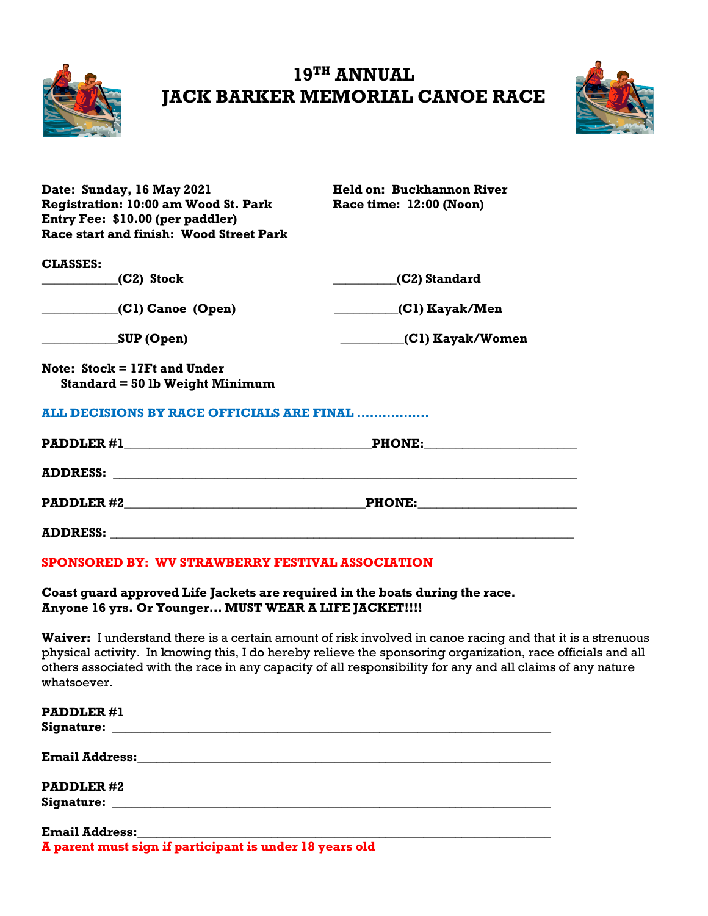

## **19TH ANNUAL JACK BARKER MEMORIAL CANOE RACE**



| Held on: Buckhannon River                   |  |  |  |
|---------------------------------------------|--|--|--|
| Race time: 12:00 (Noon)                     |  |  |  |
|                                             |  |  |  |
|                                             |  |  |  |
|                                             |  |  |  |
| (C2) Standard                               |  |  |  |
|                                             |  |  |  |
| (C1) Kayak/Women                            |  |  |  |
|                                             |  |  |  |
|                                             |  |  |  |
| ALL DECISIONS BY RACE OFFICIALS ARE FINAL   |  |  |  |
| PADDLER #1<br><b>PHONE:</b>                 |  |  |  |
|                                             |  |  |  |
| $\underline{\texttt{PHONE:}}$               |  |  |  |
|                                             |  |  |  |
| <b>Registration: 10:00 am Wood St. Park</b> |  |  |  |

### **SPONSORED BY: WV STRAWBERRY FESTIVAL ASSOCIATION**

#### **Coast guard approved Life Jackets are required in the boats during the race. Anyone 16 yrs. Or Younger… MUST WEAR A LIFE JACKET!!!!**

**Waiver:** I understand there is a certain amount of risk involved in canoe racing and that it is a strenuous physical activity. In knowing this, I do hereby relieve the sponsoring organization, race officials and all others associated with the race in any capacity of all responsibility for any and all claims of any nature whatsoever.

| <b>PADDLER#1</b>                                        |  |
|---------------------------------------------------------|--|
|                                                         |  |
| <b>PADDLER#2</b>                                        |  |
|                                                         |  |
|                                                         |  |
| A parent must sign if participant is under 18 years old |  |